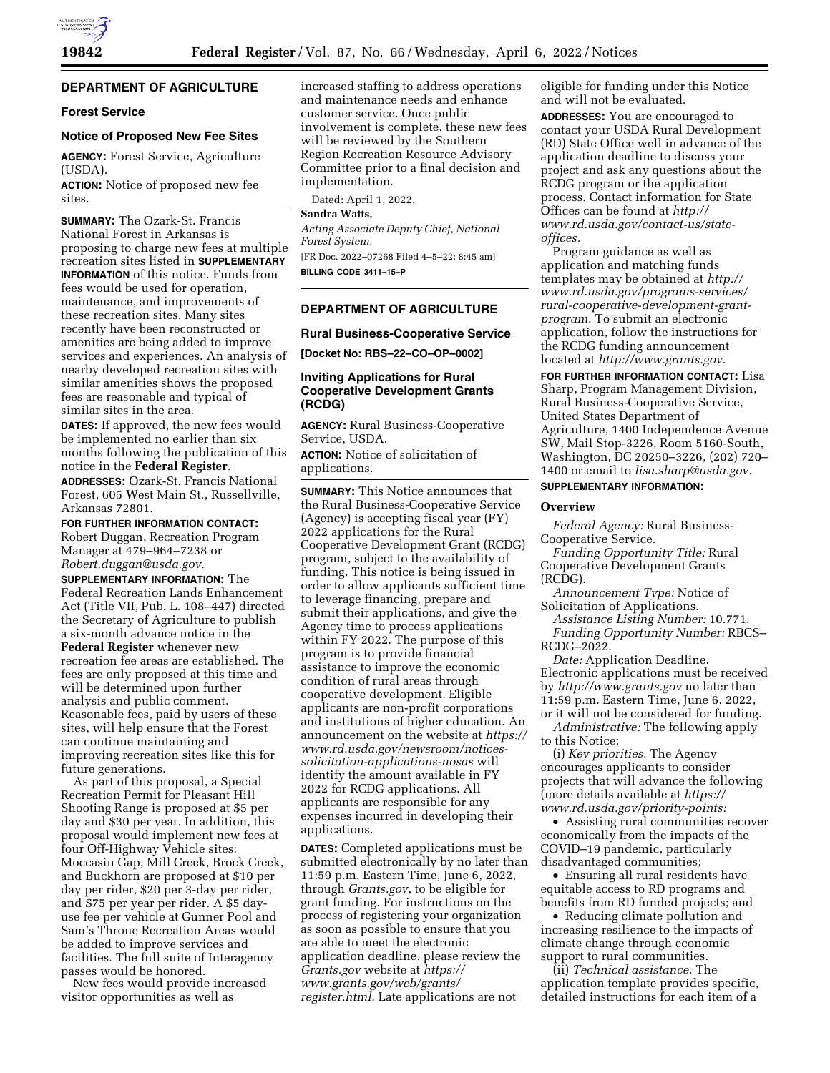

# **DEPARTMENT OF AGRICULTURE**

### **Forest Service**

## **Notice of Proposed New Fee Sites**

**AGENCY:** Forest Service, Agriculture (USDA).

**ACTION:** Notice of proposed new fee sites.

**SUMMARY:** The Ozark-St. Francis National Forest in Arkansas is proposing to charge new fees at multiple recreation sites listed in **SUPPLEMENTARY INFORMATION** of this notice. Funds from fees would be used for operation, maintenance, and improvements of these recreation sites. Many sites recently have been reconstructed or amenities are being added to improve services and experiences. An analysis of nearby developed recreation sites with similar amenities shows the proposed fees are reasonable and typical of similar sites in the area.

**DATES:** If approved, the new fees would be implemented no earlier than six months following the publication of this notice in the **Federal Register**.

**ADDRESSES:** Ozark-St. Francis National Forest, 605 West Main St., Russellville, Arkansas 72801.

**FOR FURTHER INFORMATION CONTACT:**  Robert Duggan, Recreation Program Manager at 479–964–7238 or *[Robert.duggan@usda.gov.](mailto:Robert.duggan@usda.gov)* 

**SUPPLEMENTARY INFORMATION:** The Federal Recreation Lands Enhancement Act (Title VII, Pub. L. 108–447) directed the Secretary of Agriculture to publish a six-month advance notice in the **Federal Register** whenever new recreation fee areas are established. The fees are only proposed at this time and will be determined upon further analysis and public comment. Reasonable fees, paid by users of these sites, will help ensure that the Forest can continue maintaining and improving recreation sites like this for future generations.

As part of this proposal, a Special Recreation Permit for Pleasant Hill Shooting Range is proposed at \$5 per day and \$30 per year. In addition, this proposal would implement new fees at four Off-Highway Vehicle sites: Moccasin Gap, Mill Creek, Brock Creek, and Buckhorn are proposed at \$10 per day per rider, \$20 per 3-day per rider, and \$75 per year per rider. A \$5 dayuse fee per vehicle at Gunner Pool and Sam's Throne Recreation Areas would be added to improve services and facilities. The full suite of Interagency passes would be honored.

New fees would provide increased visitor opportunities as well as

increased staffing to address operations and maintenance needs and enhance customer service. Once public involvement is complete, these new fees will be reviewed by the Southern Region Recreation Resource Advisory Committee prior to a final decision and implementation.

Dated: April 1, 2022.

### **Sandra Watts,**

*Acting Associate Deputy Chief, National Forest System.* 

[FR Doc. 2022–07268 Filed 4–5–22; 8:45 am] **BILLING CODE 3411–15–P** 

## **DEPARTMENT OF AGRICULTURE**

**Rural Business-Cooperative Service** 

**[Docket No: RBS–22–CO–OP–0002]** 

### **Inviting Applications for Rural Cooperative Development Grants (RCDG)**

**AGENCY:** Rural Business-Cooperative Service, USDA.

**ACTION:** Notice of solicitation of applications.

**SUMMARY:** This Notice announces that the Rural Business-Cooperative Service (Agency) is accepting fiscal year (FY) 2022 applications for the Rural Cooperative Development Grant (RCDG) program, subject to the availability of funding. This notice is being issued in order to allow applicants sufficient time to leverage financing, prepare and submit their applications, and give the Agency time to process applications within FY 2022. The purpose of this program is to provide financial assistance to improve the economic condition of rural areas through cooperative development. Eligible applicants are non-profit corporations and institutions of higher education. An announcement on the website at *[https://](https://www.rd.usda.gov/newsroom/notices-solicitation-applications-nosas)  [www.rd.usda.gov/newsroom/notices](https://www.rd.usda.gov/newsroom/notices-solicitation-applications-nosas)[solicitation-applications-nosas](https://www.rd.usda.gov/newsroom/notices-solicitation-applications-nosas)* will identify the amount available in FY 2022 for RCDG applications. All applicants are responsible for any expenses incurred in developing their applications.

**DATES:** Completed applications must be submitted electronically by no later than 11:59 p.m. Eastern Time, June 6, 2022, through *Grants.gov*, to be eligible for grant funding. For instructions on the process of registering your organization as soon as possible to ensure that you are able to meet the electronic application deadline, please review the *Grants.gov* website at *[https://](https://www.grants.gov/web/grants/register.html) [www.grants.gov/web/grants/](https://www.grants.gov/web/grants/register.html) [register.html](https://www.grants.gov/web/grants/register.html)*. Late applications are not

eligible for funding under this Notice and will not be evaluated.

**ADDRESSES:** You are encouraged to contact your USDA Rural Development (RD) State Office well in advance of the application deadline to discuss your project and ask any questions about the RCDG program or the application process. Contact information for State Offices can be found at *[http://](http://www.rd.usda.gov/contact-us/state-offices) [www.rd.usda.gov/contact-us/state](http://www.rd.usda.gov/contact-us/state-offices)[offices.](http://www.rd.usda.gov/contact-us/state-offices)* 

Program guidance as well as application and matching funds templates may be obtained at *[http://](http://www.rd.usda.gov/programs-services/rural-cooperative-development-grant-program) www.rd.usda.gov/programs-services/ [rural-cooperative-development-grant](http://www.rd.usda.gov/programs-services/rural-cooperative-development-grant-program)program*. To submit an electronic application, follow the instructions for the RCDG funding announcement located at *[http://www.grants.gov.](http://www.grants.gov)* 

**FOR FURTHER INFORMATION CONTACT:** Lisa Sharp, Program Management Division, Rural Business-Cooperative Service, United States Department of Agriculture, 1400 Independence Avenue SW, Mail Stop-3226, Room 5160-South, Washington, DC 20250–3226, (202) 720– 1400 or email to *[lisa.sharp@usda.gov.](mailto:lisa.sharp@usda.gov)* 

## **SUPPLEMENTARY INFORMATION:**

#### **Overview**

*Federal Agency:* Rural Business-Cooperative Service.

*Funding Opportunity Title:* Rural Cooperative Development Grants (RCDG).

*Announcement Type:* Notice of Solicitation of Applications.

*Assistance Listing Number:* 10.771. *Funding Opportunity Number:* RBCS– RCDG–2022.

*Date:* Application Deadline. Electronic applications must be received by *<http://www.grants.gov>* no later than 11:59 p.m. Eastern Time, June 6, 2022, or it will not be considered for funding.

*Administrative:* The following apply to this Notice:

(i) *Key priorities.* The Agency encourages applicants to consider projects that will advance the following (more details available at *[https://](https://www.rd.usda.gov/priority-points) [www.rd.usda.gov/priority-points:](https://www.rd.usda.gov/priority-points)* 

• Assisting rural communities recover economically from the impacts of the COVID–19 pandemic, particularly disadvantaged communities;

• Ensuring all rural residents have equitable access to RD programs and benefits from RD funded projects; and

• Reducing climate pollution and increasing resilience to the impacts of climate change through economic support to rural communities.

(ii) *Technical assistance.* The application template provides specific, detailed instructions for each item of a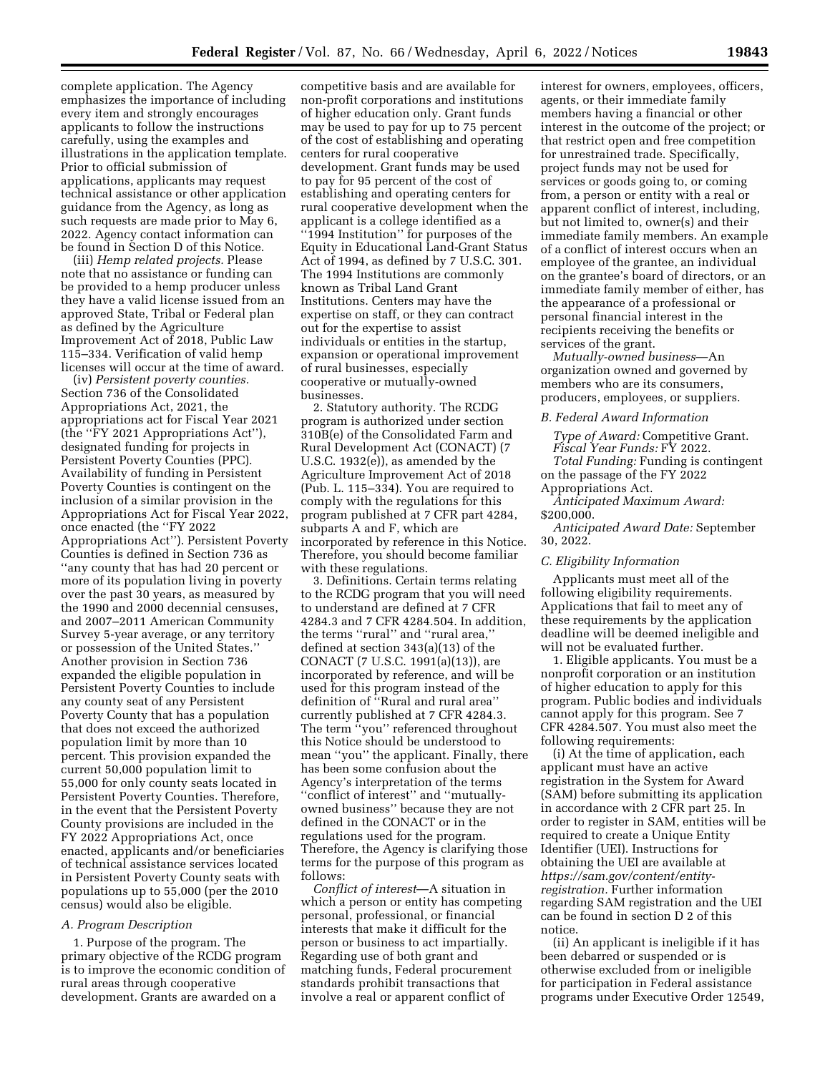complete application. The Agency emphasizes the importance of including every item and strongly encourages applicants to follow the instructions carefully, using the examples and illustrations in the application template. Prior to official submission of applications, applicants may request technical assistance or other application guidance from the Agency, as long as such requests are made prior to May 6, 2022. Agency contact information can be found in Section D of this Notice.

(iii) *Hemp related projects.* Please note that no assistance or funding can be provided to a hemp producer unless they have a valid license issued from an approved State, Tribal or Federal plan as defined by the Agriculture Improvement Act of 2018, Public Law 115–334. Verification of valid hemp licenses will occur at the time of award.

(iv) *Persistent poverty counties.*  Section 736 of the Consolidated Appropriations Act, 2021, the appropriations act for Fiscal Year 2021 (the ''FY 2021 Appropriations Act''), designated funding for projects in Persistent Poverty Counties (PPC). Availability of funding in Persistent Poverty Counties is contingent on the inclusion of a similar provision in the Appropriations Act for Fiscal Year 2022, once enacted (the ''FY 2022 Appropriations Act''). Persistent Poverty Counties is defined in Section 736 as ''any county that has had 20 percent or more of its population living in poverty over the past 30 years, as measured by the 1990 and 2000 decennial censuses, and 2007–2011 American Community Survey 5-year average, or any territory or possession of the United States.'' Another provision in Section 736 expanded the eligible population in Persistent Poverty Counties to include any county seat of any Persistent Poverty County that has a population that does not exceed the authorized population limit by more than 10 percent. This provision expanded the current 50,000 population limit to 55,000 for only county seats located in Persistent Poverty Counties. Therefore, in the event that the Persistent Poverty County provisions are included in the FY 2022 Appropriations Act, once enacted, applicants and/or beneficiaries of technical assistance services located in Persistent Poverty County seats with populations up to 55,000 (per the 2010 census) would also be eligible.

#### *A. Program Description*

1. Purpose of the program. The primary objective of the RCDG program is to improve the economic condition of rural areas through cooperative development. Grants are awarded on a

competitive basis and are available for non-profit corporations and institutions of higher education only. Grant funds may be used to pay for up to 75 percent of the cost of establishing and operating centers for rural cooperative development. Grant funds may be used to pay for 95 percent of the cost of establishing and operating centers for rural cooperative development when the applicant is a college identified as a ''1994 Institution'' for purposes of the Equity in Educational Land-Grant Status Act of 1994, as defined by 7 U.S.C. 301. The 1994 Institutions are commonly known as Tribal Land Grant Institutions. Centers may have the expertise on staff, or they can contract out for the expertise to assist individuals or entities in the startup, expansion or operational improvement of rural businesses, especially cooperative or mutually-owned businesses.

2. Statutory authority. The RCDG program is authorized under section 310B(e) of the Consolidated Farm and Rural Development Act (CONACT) (7 U.S.C. 1932(e)), as amended by the Agriculture Improvement Act of 2018 (Pub. L. 115–334). You are required to comply with the regulations for this program published at 7 CFR part 4284, subparts A and F, which are incorporated by reference in this Notice. Therefore, you should become familiar with these regulations.

3. Definitions. Certain terms relating to the RCDG program that you will need to understand are defined at 7 CFR 4284.3 and 7 CFR 4284.504. In addition, the terms ''rural'' and ''rural area,'' defined at section 343(a)(13) of the CONACT (7 U.S.C. 1991(a)(13)), are incorporated by reference, and will be used for this program instead of the definition of ''Rural and rural area'' currently published at 7 CFR 4284.3. The term ''you'' referenced throughout this Notice should be understood to mean ''you'' the applicant. Finally, there has been some confusion about the Agency's interpretation of the terms ''conflict of interest'' and ''mutuallyowned business'' because they are not defined in the CONACT or in the regulations used for the program. Therefore, the Agency is clarifying those terms for the purpose of this program as follows:

*Conflict of interest*—A situation in which a person or entity has competing personal, professional, or financial interests that make it difficult for the person or business to act impartially. Regarding use of both grant and matching funds, Federal procurement standards prohibit transactions that involve a real or apparent conflict of

interest for owners, employees, officers, agents, or their immediate family members having a financial or other interest in the outcome of the project; or that restrict open and free competition for unrestrained trade. Specifically, project funds may not be used for services or goods going to, or coming from, a person or entity with a real or apparent conflict of interest, including, but not limited to, owner(s) and their immediate family members. An example of a conflict of interest occurs when an employee of the grantee, an individual on the grantee's board of directors, or an immediate family member of either, has the appearance of a professional or personal financial interest in the recipients receiving the benefits or services of the grant.

*Mutually-owned business*—An organization owned and governed by members who are its consumers, producers, employees, or suppliers.

#### *B. Federal Award Information*

*Type of Award:* Competitive Grant. *Fiscal Year Funds:* FY 2022. *Total Funding:* Funding is contingent on the passage of the FY 2022 Appropriations Act.

*Anticipated Maximum Award:*  \$200,000.

*Anticipated Award Date:* September 30, 2022.

#### *C. Eligibility Information*

Applicants must meet all of the following eligibility requirements. Applications that fail to meet any of these requirements by the application deadline will be deemed ineligible and will not be evaluated further.

1. Eligible applicants. You must be a nonprofit corporation or an institution of higher education to apply for this program. Public bodies and individuals cannot apply for this program. See 7 CFR 4284.507. You must also meet the following requirements:

(i) At the time of application, each applicant must have an active registration in the System for Award (SAM) before submitting its application in accordance with 2 CFR part 25. In order to register in SAM, entities will be required to create a Unique Entity Identifier (UEI). Instructions for obtaining the UEI are available at *[https://sam.gov/content/entity](https://sam.gov/content/entity-registration)[registration.](https://sam.gov/content/entity-registration)* Further information regarding SAM registration and the UEI can be found in section D 2 of this notice.

(ii) An applicant is ineligible if it has been debarred or suspended or is otherwise excluded from or ineligible for participation in Federal assistance programs under Executive Order 12549,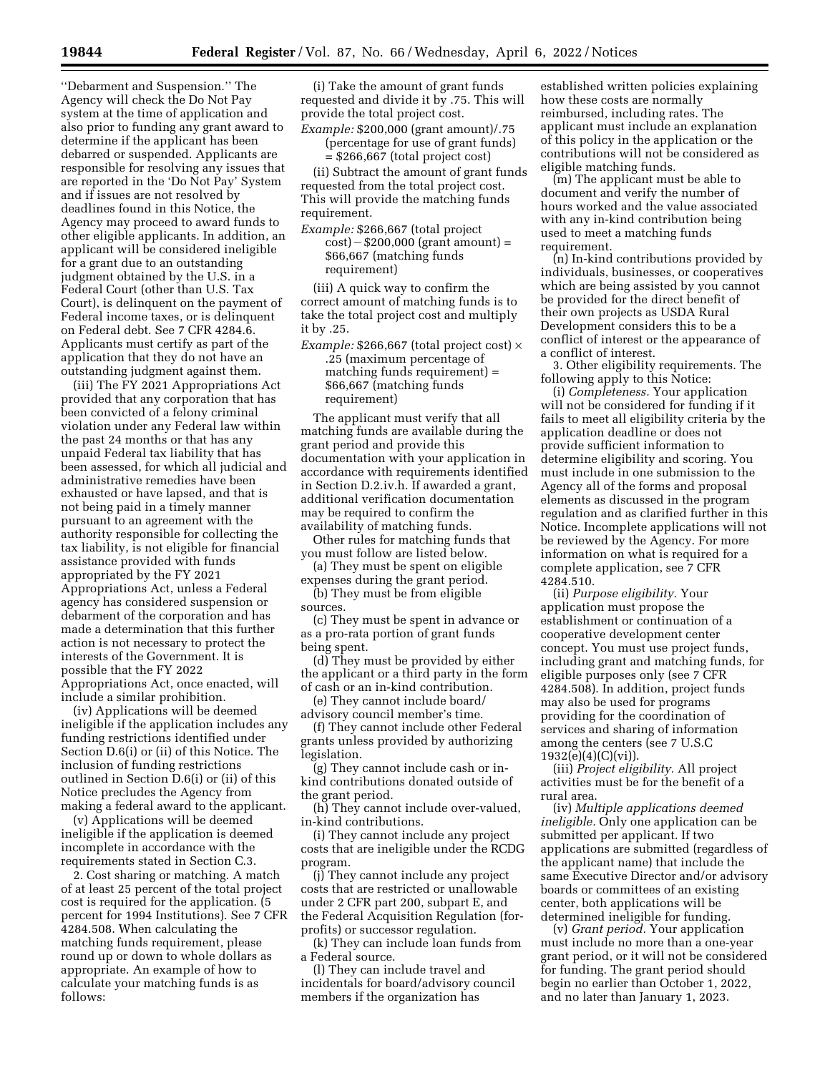''Debarment and Suspension.'' The Agency will check the Do Not Pay system at the time of application and also prior to funding any grant award to determine if the applicant has been debarred or suspended. Applicants are responsible for resolving any issues that are reported in the 'Do Not Pay' System and if issues are not resolved by deadlines found in this Notice, the Agency may proceed to award funds to other eligible applicants. In addition, an applicant will be considered ineligible for a grant due to an outstanding judgment obtained by the U.S. in a Federal Court (other than U.S. Tax Court), is delinquent on the payment of Federal income taxes, or is delinquent on Federal debt. See 7 CFR 4284.6. Applicants must certify as part of the application that they do not have an outstanding judgment against them.

(iii) The FY 2021 Appropriations Act provided that any corporation that has been convicted of a felony criminal violation under any Federal law within the past 24 months or that has any unpaid Federal tax liability that has been assessed, for which all judicial and administrative remedies have been exhausted or have lapsed, and that is not being paid in a timely manner pursuant to an agreement with the authority responsible for collecting the tax liability, is not eligible for financial assistance provided with funds appropriated by the FY 2021 Appropriations Act, unless a Federal agency has considered suspension or debarment of the corporation and has made a determination that this further action is not necessary to protect the interests of the Government. It is possible that the FY 2022 Appropriations Act, once enacted, will include a similar prohibition.

(iv) Applications will be deemed ineligible if the application includes any funding restrictions identified under Section D.6(i) or (ii) of this Notice. The inclusion of funding restrictions outlined in Section D.6(i) or (ii) of this Notice precludes the Agency from making a federal award to the applicant.

(v) Applications will be deemed ineligible if the application is deemed incomplete in accordance with the requirements stated in Section C.3.

2. Cost sharing or matching. A match of at least 25 percent of the total project cost is required for the application. (5 percent for 1994 Institutions). See 7 CFR 4284.508. When calculating the matching funds requirement, please round up or down to whole dollars as appropriate. An example of how to calculate your matching funds is as follows:

(i) Take the amount of grant funds requested and divide it by .75. This will provide the total project cost.

*Example:* \$200,000 (grant amount)/.75 (percentage for use of grant funds) = \$266,667 (total project cost)

(ii) Subtract the amount of grant funds requested from the total project cost. This will provide the matching funds requirement.

*Example:* \$266,667 (total project  $cost$ ) – \$200,000 (grant amount) = \$66,667 (matching funds requirement)

(iii) A quick way to confirm the correct amount of matching funds is to take the total project cost and multiply it by .25.

*Example:* \$266,667 (total project cost) × .25 (maximum percentage of matching funds requirement) = \$66,667 (matching funds requirement)

The applicant must verify that all matching funds are available during the grant period and provide this documentation with your application in accordance with requirements identified in Section D.2.iv.h. If awarded a grant, additional verification documentation may be required to confirm the availability of matching funds.

Other rules for matching funds that you must follow are listed below.

(a) They must be spent on eligible expenses during the grant period.

(b) They must be from eligible sources.

(c) They must be spent in advance or as a pro-rata portion of grant funds being spent.

(d) They must be provided by either the applicant or a third party in the form of cash or an in-kind contribution.

(e) They cannot include board/ advisory council member's time.

(f) They cannot include other Federal grants unless provided by authorizing legislation.

(g) They cannot include cash or inkind contributions donated outside of the grant period.

(h) They cannot include over-valued, in-kind contributions.

(i) They cannot include any project costs that are ineligible under the RCDG program.

(j) They cannot include any project costs that are restricted or unallowable under 2 CFR part 200, subpart E, and the Federal Acquisition Regulation (forprofits) or successor regulation.

(k) They can include loan funds from a Federal source.

(l) They can include travel and incidentals for board/advisory council members if the organization has

established written policies explaining how these costs are normally reimbursed, including rates. The applicant must include an explanation of this policy in the application or the contributions will not be considered as eligible matching funds.

(m) The applicant must be able to document and verify the number of hours worked and the value associated with any in-kind contribution being used to meet a matching funds requirement.

(n) In-kind contributions provided by individuals, businesses, or cooperatives which are being assisted by you cannot be provided for the direct benefit of their own projects as USDA Rural Development considers this to be a conflict of interest or the appearance of a conflict of interest.

3. Other eligibility requirements. The following apply to this Notice:

(i) *Completeness.* Your application will not be considered for funding if it fails to meet all eligibility criteria by the application deadline or does not provide sufficient information to determine eligibility and scoring. You must include in one submission to the Agency all of the forms and proposal elements as discussed in the program regulation and as clarified further in this Notice. Incomplete applications will not be reviewed by the Agency. For more information on what is required for a complete application, see 7 CFR 4284.510.

(ii) *Purpose eligibility.* Your application must propose the establishment or continuation of a cooperative development center concept. You must use project funds, including grant and matching funds, for eligible purposes only (see 7 CFR 4284.508). In addition, project funds may also be used for programs providing for the coordination of services and sharing of information among the centers (see 7 U.S.C 1932(e)(4)(C)(vi)).

(iii) *Project eligibility.* All project activities must be for the benefit of a rural area.

(iv) *Multiple applications deemed ineligible.* Only one application can be submitted per applicant. If two applications are submitted (regardless of the applicant name) that include the same Executive Director and/or advisory boards or committees of an existing center, both applications will be determined ineligible for funding.

(v) *Grant period.* Your application must include no more than a one-year grant period, or it will not be considered for funding. The grant period should begin no earlier than October 1, 2022, and no later than January 1, 2023.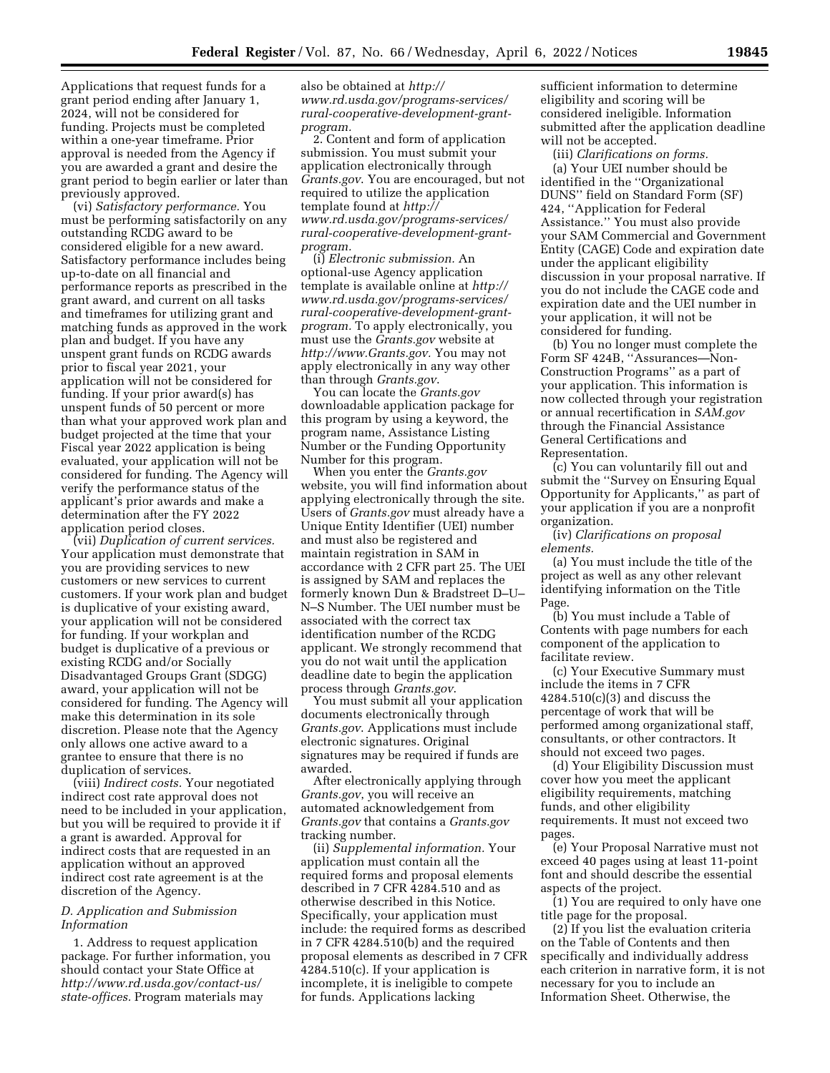Applications that request funds for a grant period ending after January 1, 2024, will not be considered for funding. Projects must be completed within a one-year timeframe. Prior approval is needed from the Agency if you are awarded a grant and desire the grant period to begin earlier or later than previously approved.

(vi) *Satisfactory performance.* You must be performing satisfactorily on any outstanding RCDG award to be considered eligible for a new award. Satisfactory performance includes being up-to-date on all financial and performance reports as prescribed in the grant award, and current on all tasks and timeframes for utilizing grant and matching funds as approved in the work plan and budget. If you have any unspent grant funds on RCDG awards prior to fiscal year 2021, your application will not be considered for funding. If your prior award(s) has unspent funds of 50 percent or more than what your approved work plan and budget projected at the time that your Fiscal year 2022 application is being evaluated, your application will not be considered for funding. The Agency will verify the performance status of the applicant's prior awards and make a determination after the FY 2022 application period closes.

(vii) *Duplication of current services.*  Your application must demonstrate that you are providing services to new customers or new services to current customers. If your work plan and budget is duplicative of your existing award, your application will not be considered for funding. If your workplan and budget is duplicative of a previous or existing RCDG and/or Socially Disadvantaged Groups Grant (SDGG) award, your application will not be considered for funding. The Agency will make this determination in its sole discretion. Please note that the Agency only allows one active award to a grantee to ensure that there is no duplication of services.

(viii) *Indirect costs.* Your negotiated indirect cost rate approval does not need to be included in your application, but you will be required to provide it if a grant is awarded. Approval for indirect costs that are requested in an application without an approved indirect cost rate agreement is at the discretion of the Agency.

### *D. Application and Submission Information*

1. Address to request application package. For further information, you should contact your State Office at *[http://www.rd.usda.gov/contact-us/](http://www.rd.usda.gov/contact-us/state-offices) [state-offices.](http://www.rd.usda.gov/contact-us/state-offices)* Program materials may

also be obtained at *[http://](http://www.rd.usda.gov/programs-services/rural-cooperative-development-grant-program) www.rd.usda.gov/programs-services/ [rural-cooperative-development-grant](http://www.rd.usda.gov/programs-services/rural-cooperative-development-grant-program)[program](http://www.rd.usda.gov/programs-services/rural-cooperative-development-grant-program).* 

2. Content and form of application submission. You must submit your application electronically through *Grants.gov*. You are encouraged, but not required to utilize the application template found at *[http://](http://www.rd.usda.gov/programs-services/rural-cooperative-development-grant-program) www.rd.usda.gov/programs-services/ [rural-cooperative-development-grant](http://www.rd.usda.gov/programs-services/rural-cooperative-development-grant-program)[program](http://www.rd.usda.gov/programs-services/rural-cooperative-development-grant-program).* 

(i) *Electronic submission.* An optional-use Agency application template is available online at *[http://](http://www.rd.usda.gov/programs-services/rural-cooperative-development-grant-program) www.rd.usda.gov/programs-services/ [rural-cooperative-development-grant](http://www.rd.usda.gov/programs-services/rural-cooperative-development-grant-program)[program.](http://www.rd.usda.gov/programs-services/rural-cooperative-development-grant-program)* To apply electronically, you must use the *Grants.gov* website at *[http://www.Grants.gov.](http://www.Grants.gov)* You may not apply electronically in any way other than through *Grants.gov*.

You can locate the *Grants.gov*  downloadable application package for this program by using a keyword, the program name, Assistance Listing Number or the Funding Opportunity Number for this program.

When you enter the *Grants.gov*  website, you will find information about applying electronically through the site. Users of *Grants.gov* must already have a Unique Entity Identifier (UEI) number and must also be registered and maintain registration in SAM in accordance with 2 CFR part 25. The UEI is assigned by SAM and replaces the formerly known Dun & Bradstreet D–U– N–S Number. The UEI number must be associated with the correct tax identification number of the RCDG applicant. We strongly recommend that you do not wait until the application deadline date to begin the application process through *Grants.gov*.

You must submit all your application documents electronically through *Grants.gov*. Applications must include electronic signatures. Original signatures may be required if funds are awarded.

After electronically applying through *Grants.gov*, you will receive an automated acknowledgement from *Grants.gov* that contains a *Grants.gov*  tracking number.

(ii) *Supplemental information.* Your application must contain all the required forms and proposal elements described in 7 CFR 4284.510 and as otherwise described in this Notice. Specifically, your application must include: the required forms as described in 7 CFR 4284.510(b) and the required proposal elements as described in 7 CFR 4284.510(c). If your application is incomplete, it is ineligible to compete for funds. Applications lacking

sufficient information to determine eligibility and scoring will be considered ineligible. Information submitted after the application deadline will not be accepted.

(iii) *Clarifications on forms.*  (a) Your UEI number should be identified in the ''Organizational DUNS'' field on Standard Form (SF) 424, ''Application for Federal Assistance.'' You must also provide your SAM Commercial and Government Entity (CAGE) Code and expiration date under the applicant eligibility discussion in your proposal narrative. If you do not include the CAGE code and expiration date and the UEI number in your application, it will not be considered for funding.

(b) You no longer must complete the Form SF 424B, ''Assurances—Non-Construction Programs'' as a part of your application. This information is now collected through your registration or annual recertification in *SAM.gov*  through the Financial Assistance General Certifications and Representation.

(c) You can voluntarily fill out and submit the ''Survey on Ensuring Equal Opportunity for Applicants,'' as part of your application if you are a nonprofit organization.

(iv) *Clarifications on proposal elements.* 

(a) You must include the title of the project as well as any other relevant identifying information on the Title Page.

(b) You must include a Table of Contents with page numbers for each component of the application to facilitate review.

(c) Your Executive Summary must include the items in 7 CFR  $4284.510(c)(3)$  and discuss the percentage of work that will be performed among organizational staff, consultants, or other contractors. It should not exceed two pages.

(d) Your Eligibility Discussion must cover how you meet the applicant eligibility requirements, matching funds, and other eligibility requirements. It must not exceed two pages.

(e) Your Proposal Narrative must not exceed 40 pages using at least 11-point font and should describe the essential aspects of the project.

(1) You are required to only have one title page for the proposal.

(2) If you list the evaluation criteria on the Table of Contents and then specifically and individually address each criterion in narrative form, it is not necessary for you to include an Information Sheet. Otherwise, the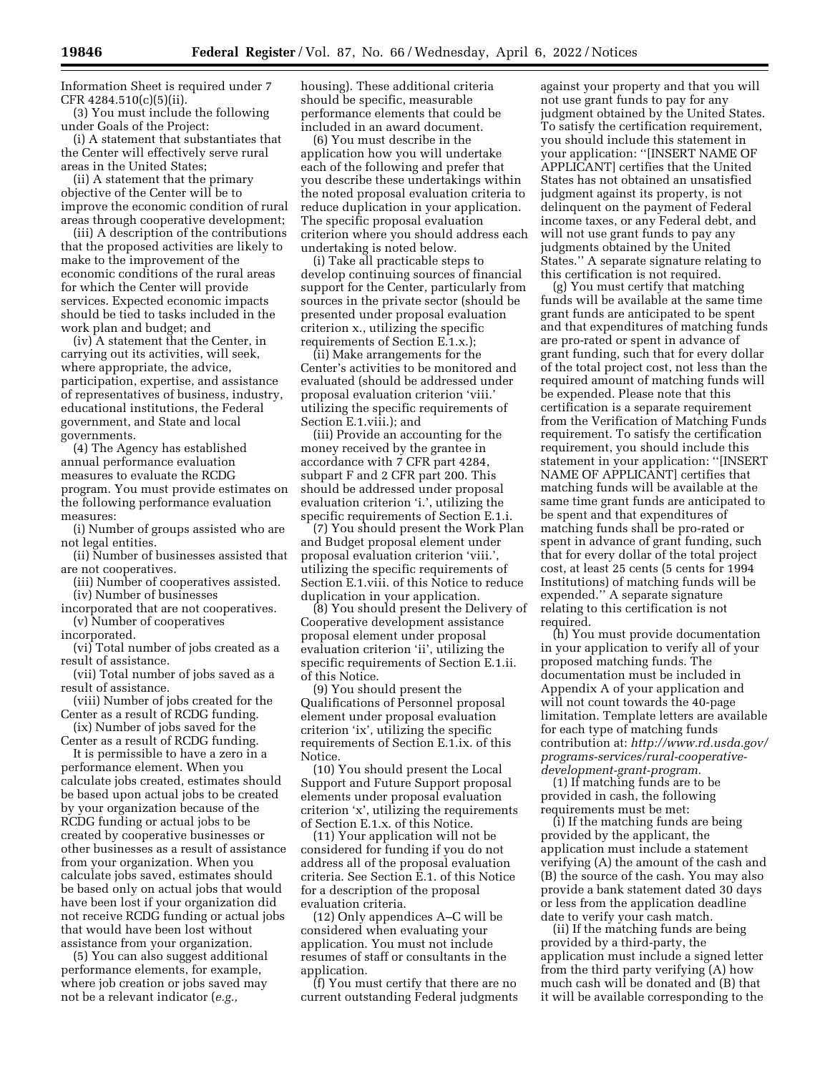Information Sheet is required under 7 CFR 4284.510(c)(5)(ii).

(3) You must include the following under Goals of the Project:

(i) A statement that substantiates that the Center will effectively serve rural areas in the United States;

(ii) A statement that the primary objective of the Center will be to improve the economic condition of rural areas through cooperative development;

(iii) A description of the contributions that the proposed activities are likely to make to the improvement of the economic conditions of the rural areas for which the Center will provide services. Expected economic impacts should be tied to tasks included in the work plan and budget; and

(iv) A statement that the Center, in carrying out its activities, will seek, where appropriate, the advice, participation, expertise, and assistance of representatives of business, industry, educational institutions, the Federal government, and State and local governments.

(4) The Agency has established annual performance evaluation measures to evaluate the RCDG program. You must provide estimates on the following performance evaluation measures:

(i) Number of groups assisted who are not legal entities.

(ii) Number of businesses assisted that are not cooperatives.

(iii) Number of cooperatives assisted. (iv) Number of businesses

incorporated that are not cooperatives. (v) Number of cooperatives

incorporated.

(vi) Total number of jobs created as a result of assistance.

(vii) Total number of jobs saved as a result of assistance.

(viii) Number of jobs created for the Center as a result of RCDG funding.

(ix) Number of jobs saved for the Center as a result of RCDG funding.

It is permissible to have a zero in a performance element. When you calculate jobs created, estimates should be based upon actual jobs to be created by your organization because of the RCDG funding or actual jobs to be created by cooperative businesses or other businesses as a result of assistance from your organization. When you calculate jobs saved, estimates should be based only on actual jobs that would have been lost if your organization did not receive RCDG funding or actual jobs that would have been lost without assistance from your organization.

(5) You can also suggest additional performance elements, for example, where job creation or jobs saved may not be a relevant indicator (*e.g.,* 

housing). These additional criteria should be specific, measurable performance elements that could be included in an award document.

(6) You must describe in the application how you will undertake each of the following and prefer that you describe these undertakings within the noted proposal evaluation criteria to reduce duplication in your application. The specific proposal evaluation criterion where you should address each undertaking is noted below.

(i) Take all practicable steps to develop continuing sources of financial support for the Center, particularly from sources in the private sector (should be presented under proposal evaluation criterion x., utilizing the specific requirements of Section E.1.x.);

(ii) Make arrangements for the Center's activities to be monitored and evaluated (should be addressed under proposal evaluation criterion 'viii.' utilizing the specific requirements of Section E.1.viii.); and

(iii) Provide an accounting for the money received by the grantee in accordance with 7 CFR part 4284, subpart F and 2 CFR part 200. This should be addressed under proposal evaluation criterion 'i.', utilizing the specific requirements of Section E.1.i.

(7) You should present the Work Plan and Budget proposal element under proposal evaluation criterion 'viii.', utilizing the specific requirements of Section E.1.viii. of this Notice to reduce duplication in your application.

(8) You should present the Delivery of Cooperative development assistance proposal element under proposal evaluation criterion 'ii', utilizing the specific requirements of Section E.1.ii. of this Notice.

(9) You should present the Qualifications of Personnel proposal element under proposal evaluation criterion 'ix', utilizing the specific requirements of Section E.1.ix. of this Notice.

(10) You should present the Local Support and Future Support proposal elements under proposal evaluation criterion 'x', utilizing the requirements of Section E.1.x. of this Notice.

(11) Your application will not be considered for funding if you do not address all of the proposal evaluation criteria. See Section E.1. of this Notice for a description of the proposal evaluation criteria.

(12) Only appendices A–C will be considered when evaluating your application. You must not include resumes of staff or consultants in the application.

(f) You must certify that there are no current outstanding Federal judgments

against your property and that you will not use grant funds to pay for any judgment obtained by the United States. To satisfy the certification requirement, you should include this statement in your application: ''[INSERT NAME OF APPLICANT] certifies that the United States has not obtained an unsatisfied judgment against its property, is not delinquent on the payment of Federal income taxes, or any Federal debt, and will not use grant funds to pay any judgments obtained by the United States.'' A separate signature relating to this certification is not required.

(g) You must certify that matching funds will be available at the same time grant funds are anticipated to be spent and that expenditures of matching funds are pro-rated or spent in advance of grant funding, such that for every dollar of the total project cost, not less than the required amount of matching funds will be expended. Please note that this certification is a separate requirement from the Verification of Matching Funds requirement. To satisfy the certification requirement, you should include this statement in your application: ''[INSERT NAME OF APPLICANT] certifies that matching funds will be available at the same time grant funds are anticipated to be spent and that expenditures of matching funds shall be pro-rated or spent in advance of grant funding, such that for every dollar of the total project cost, at least 25 cents (5 cents for 1994 Institutions) of matching funds will be expended.'' A separate signature relating to this certification is not required.

(h) You must provide documentation in your application to verify all of your proposed matching funds. The documentation must be included in Appendix A of your application and will not count towards the 40-page limitation. Template letters are available for each type of matching funds contribution at: *[http://www.rd.usda.gov/](http://www.rd.usda.gov/programs-services/rural-cooperative-development-grant-program)  [programs-services/rural-cooperative](http://www.rd.usda.gov/programs-services/rural-cooperative-development-grant-program)[development-grant-program.](http://www.rd.usda.gov/programs-services/rural-cooperative-development-grant-program)* 

(1) If matching funds are to be provided in cash, the following requirements must be met:

(i) If the matching funds are being provided by the applicant, the application must include a statement verifying (A) the amount of the cash and (B) the source of the cash. You may also provide a bank statement dated 30 days or less from the application deadline date to verify your cash match.

(ii) If the matching funds are being provided by a third-party, the application must include a signed letter from the third party verifying (A) how much cash will be donated and (B) that it will be available corresponding to the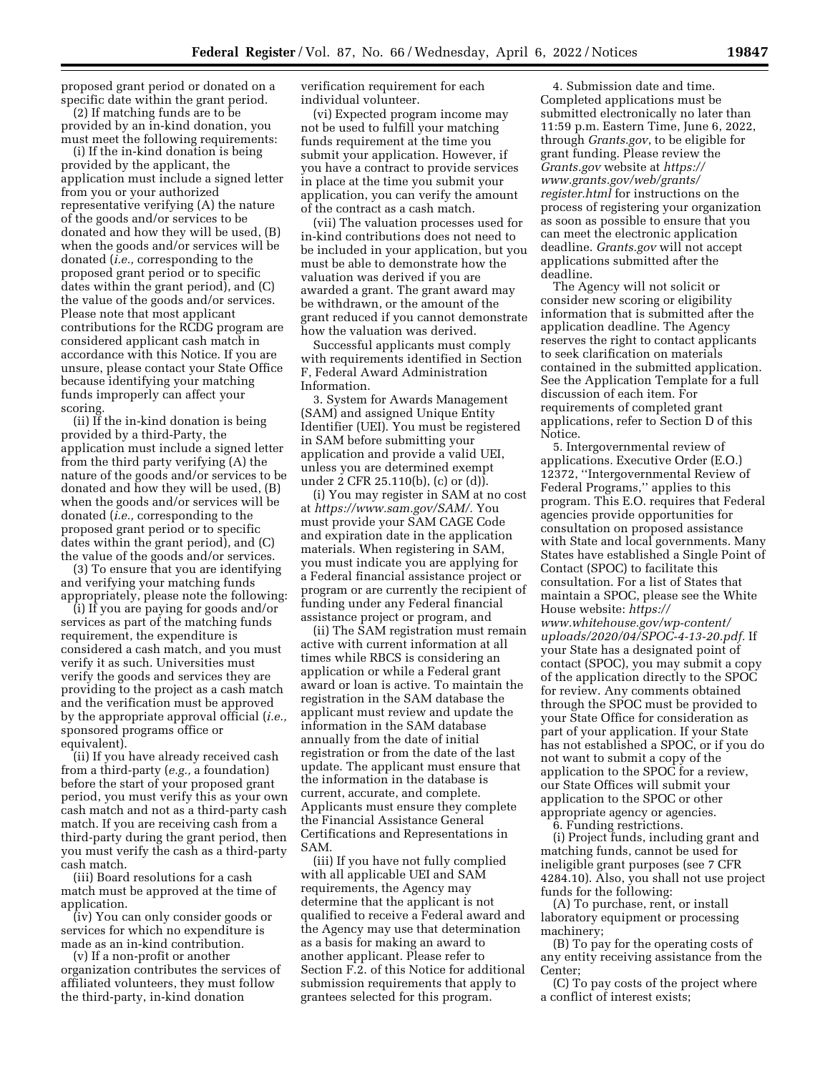proposed grant period or donated on a specific date within the grant period.

(2) If matching funds are to be provided by an in-kind donation, you must meet the following requirements:

(i) If the in-kind donation is being provided by the applicant, the application must include a signed letter from you or your authorized representative verifying (A) the nature of the goods and/or services to be donated and how they will be used, (B) when the goods and/or services will be donated (*i.e.,* corresponding to the proposed grant period or to specific dates within the grant period), and (C) the value of the goods and/or services. Please note that most applicant contributions for the RCDG program are considered applicant cash match in accordance with this Notice. If you are unsure, please contact your State Office because identifying your matching funds improperly can affect your scoring.

(ii) If the in-kind donation is being provided by a third-Party, the application must include a signed letter from the third party verifying (A) the nature of the goods and/or services to be donated and how they will be used, (B) when the goods and/or services will be donated (*i.e.,* corresponding to the proposed grant period or to specific dates within the grant period), and (C) the value of the goods and/or services.

(3) To ensure that you are identifying and verifying your matching funds appropriately, please note the following:

(i) If you are paying for goods and/or services as part of the matching funds requirement, the expenditure is considered a cash match, and you must verify it as such. Universities must verify the goods and services they are providing to the project as a cash match and the verification must be approved by the appropriate approval official (*i.e.,*  sponsored programs office or equivalent).

(ii) If you have already received cash from a third-party (*e.g.,* a foundation) before the start of your proposed grant period, you must verify this as your own cash match and not as a third-party cash match. If you are receiving cash from a third-party during the grant period, then you must verify the cash as a third-party cash match.

(iii) Board resolutions for a cash match must be approved at the time of application.

(iv) You can only consider goods or services for which no expenditure is made as an in-kind contribution.

(v) If a non-profit or another organization contributes the services of affiliated volunteers, they must follow the third-party, in-kind donation

verification requirement for each individual volunteer.

(vi) Expected program income may not be used to fulfill your matching funds requirement at the time you submit your application. However, if you have a contract to provide services in place at the time you submit your application, you can verify the amount of the contract as a cash match.

(vii) The valuation processes used for in-kind contributions does not need to be included in your application, but you must be able to demonstrate how the valuation was derived if you are awarded a grant. The grant award may be withdrawn, or the amount of the grant reduced if you cannot demonstrate how the valuation was derived.

Successful applicants must comply with requirements identified in Section F, Federal Award Administration Information.

3. System for Awards Management (SAM) and assigned Unique Entity Identifier (UEI). You must be registered in SAM before submitting your application and provide a valid UEI, unless you are determined exempt under 2 CFR 25.110(b), (c) or (d)).

(i) You may register in SAM at no cost at *[https://www.sam.gov/SAM/.](https://www.sam.gov/SAM/)* You must provide your SAM CAGE Code and expiration date in the application materials. When registering in SAM, you must indicate you are applying for a Federal financial assistance project or program or are currently the recipient of funding under any Federal financial assistance project or program, and

(ii) The SAM registration must remain active with current information at all times while RBCS is considering an application or while a Federal grant award or loan is active. To maintain the registration in the SAM database the applicant must review and update the information in the SAM database annually from the date of initial registration or from the date of the last update. The applicant must ensure that the information in the database is current, accurate, and complete. Applicants must ensure they complete the Financial Assistance General Certifications and Representations in SAM.

(iii) If you have not fully complied with all applicable UEI and SAM requirements, the Agency may determine that the applicant is not qualified to receive a Federal award and the Agency may use that determination as a basis for making an award to another applicant. Please refer to Section F.2. of this Notice for additional submission requirements that apply to grantees selected for this program.

4. Submission date and time. Completed applications must be submitted electronically no later than 11:59 p.m. Eastern Time, June 6, 2022, through *Grants.gov*, to be eligible for grant funding. Please review the *Grants.gov* website at *[https://](https://www.grants.gov/web/grants/register.html) [www.grants.gov/web/grants/](https://www.grants.gov/web/grants/register.html)  [register.html](https://www.grants.gov/web/grants/register.html)* for instructions on the process of registering your organization as soon as possible to ensure that you can meet the electronic application deadline. *Grants.gov* will not accept applications submitted after the deadline.

The Agency will not solicit or consider new scoring or eligibility information that is submitted after the application deadline. The Agency reserves the right to contact applicants to seek clarification on materials contained in the submitted application. See the Application Template for a full discussion of each item. For requirements of completed grant applications, refer to Section D of this Notice.

5. Intergovernmental review of applications. Executive Order (E.O.) 12372, ''Intergovernmental Review of Federal Programs,'' applies to this program. This E.O. requires that Federal agencies provide opportunities for consultation on proposed assistance with State and local governments. Many States have established a Single Point of Contact (SPOC) to facilitate this consultation. For a list of States that maintain a SPOC, please see the White House website: *[https://](https://www.whitehouse.gov/wp-content/uploads/2020/04/SPOC-4-13-20.pdf) [www.whitehouse.gov/wp-content/](https://www.whitehouse.gov/wp-content/uploads/2020/04/SPOC-4-13-20.pdf) [uploads/2020/04/SPOC-4-13-20.pdf.](https://www.whitehouse.gov/wp-content/uploads/2020/04/SPOC-4-13-20.pdf)* If your State has a designated point of contact (SPOC), you may submit a copy of the application directly to the SPOC for review. Any comments obtained through the SPOC must be provided to your State Office for consideration as part of your application. If your State has not established a SPOC, or if you do not want to submit a copy of the application to the SPOC for a review, our State Offices will submit your application to the SPOC or other appropriate agency or agencies.

6. Funding restrictions. (i) Project funds, including grant and matching funds, cannot be used for ineligible grant purposes (see 7 CFR 4284.10). Also, you shall not use project funds for the following:

(A) To purchase, rent, or install laboratory equipment or processing machinery;

(B) To pay for the operating costs of any entity receiving assistance from the Center;

(C) To pay costs of the project where a conflict of interest exists;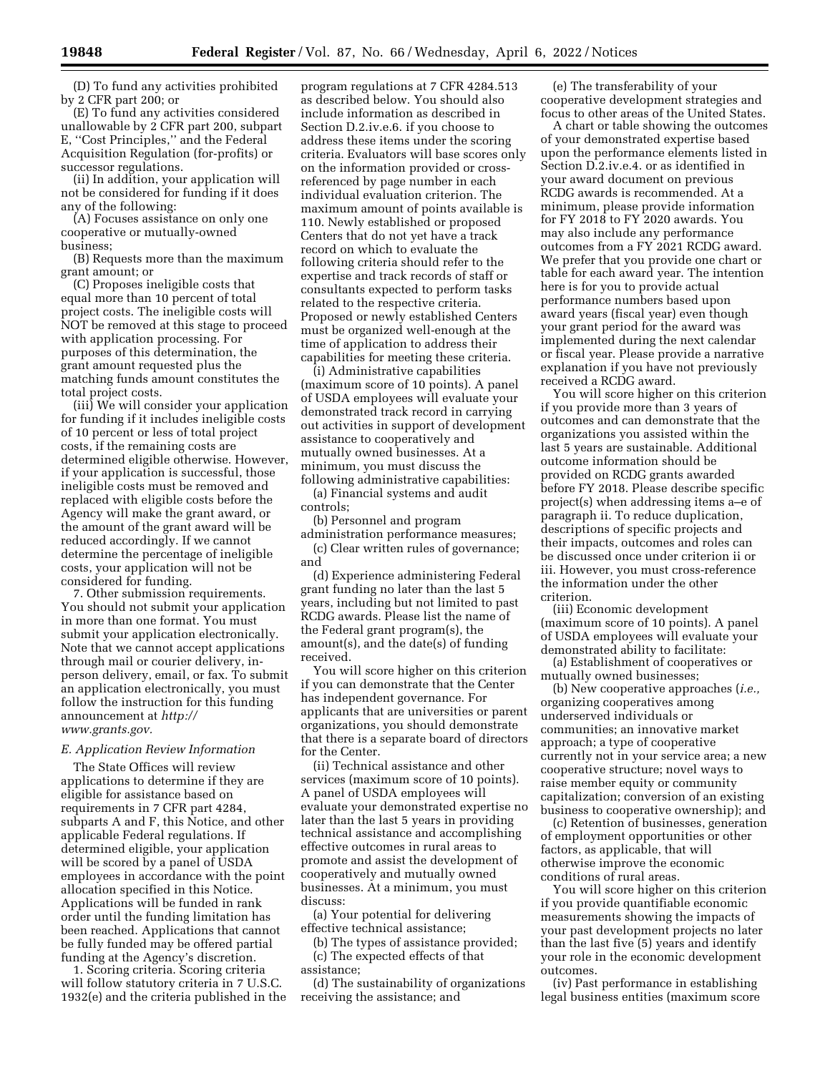(D) To fund any activities prohibited by 2 CFR part 200; or

(E) To fund any activities considered unallowable by 2 CFR part 200, subpart E, ''Cost Principles,'' and the Federal Acquisition Regulation (for-profits) or successor regulations.

(ii) In addition, your application will not be considered for funding if it does any of the following:

(A) Focuses assistance on only one cooperative or mutually-owned business;

(B) Requests more than the maximum grant amount; or

(C) Proposes ineligible costs that equal more than 10 percent of total project costs. The ineligible costs will NOT be removed at this stage to proceed with application processing. For purposes of this determination, the grant amount requested plus the matching funds amount constitutes the total project costs.

(iii) We will consider your application for funding if it includes ineligible costs of 10 percent or less of total project costs, if the remaining costs are determined eligible otherwise. However, if your application is successful, those ineligible costs must be removed and replaced with eligible costs before the Agency will make the grant award, or the amount of the grant award will be reduced accordingly. If we cannot determine the percentage of ineligible costs, your application will not be considered for funding.

7. Other submission requirements. You should not submit your application in more than one format. You must submit your application electronically. Note that we cannot accept applications through mail or courier delivery, inperson delivery, email, or fax. To submit an application electronically, you must follow the instruction for this funding announcement at *[http://](http://www.grants.gov) [www.grants.gov.](http://www.grants.gov)* 

## *E. Application Review Information*

The State Offices will review applications to determine if they are eligible for assistance based on requirements in 7 CFR part 4284, subparts A and F, this Notice, and other applicable Federal regulations. If determined eligible, your application will be scored by a panel of USDA employees in accordance with the point allocation specified in this Notice. Applications will be funded in rank order until the funding limitation has been reached. Applications that cannot be fully funded may be offered partial funding at the Agency's discretion.

1. Scoring criteria. Scoring criteria will follow statutory criteria in 7 U.S.C. 1932(e) and the criteria published in the

program regulations at 7 CFR 4284.513 as described below. You should also include information as described in Section D.2.iv.e.6. if you choose to address these items under the scoring criteria. Evaluators will base scores only on the information provided or crossreferenced by page number in each individual evaluation criterion. The maximum amount of points available is 110. Newly established or proposed Centers that do not yet have a track record on which to evaluate the following criteria should refer to the expertise and track records of staff or consultants expected to perform tasks related to the respective criteria. Proposed or newly established Centers must be organized well-enough at the time of application to address their capabilities for meeting these criteria.

(i) Administrative capabilities (maximum score of 10 points). A panel of USDA employees will evaluate your demonstrated track record in carrying out activities in support of development assistance to cooperatively and mutually owned businesses. At a minimum, you must discuss the following administrative capabilities:

(a) Financial systems and audit controls;

(b) Personnel and program administration performance measures;

(c) Clear written rules of governance; and

(d) Experience administering Federal grant funding no later than the last 5 years, including but not limited to past RCDG awards. Please list the name of the Federal grant program(s), the amount(s), and the date(s) of funding received.

You will score higher on this criterion if you can demonstrate that the Center has independent governance. For applicants that are universities or parent organizations, you should demonstrate that there is a separate board of directors for the Center.

(ii) Technical assistance and other services (maximum score of 10 points). A panel of USDA employees will evaluate your demonstrated expertise no later than the last 5 years in providing technical assistance and accomplishing effective outcomes in rural areas to promote and assist the development of cooperatively and mutually owned businesses. At a minimum, you must discuss:

(a) Your potential for delivering effective technical assistance;

(b) The types of assistance provided;

(c) The expected effects of that assistance;

(d) The sustainability of organizations receiving the assistance; and

(e) The transferability of your cooperative development strategies and focus to other areas of the United States.

A chart or table showing the outcomes of your demonstrated expertise based upon the performance elements listed in Section D.2.iv.e.4. or as identified in your award document on previous RCDG awards is recommended. At a minimum, please provide information for FY 2018 to FY 2020 awards. You may also include any performance outcomes from a FY 2021 RCDG award. We prefer that you provide one chart or table for each award year. The intention here is for you to provide actual performance numbers based upon award years (fiscal year) even though your grant period for the award was implemented during the next calendar or fiscal year. Please provide a narrative explanation if you have not previously received a RCDG award.

You will score higher on this criterion if you provide more than 3 years of outcomes and can demonstrate that the organizations you assisted within the last 5 years are sustainable. Additional outcome information should be provided on RCDG grants awarded before FY 2018. Please describe specific project(s) when addressing items a–e of paragraph ii. To reduce duplication, descriptions of specific projects and their impacts, outcomes and roles can be discussed once under criterion ii or iii. However, you must cross-reference the information under the other criterion.

(iii) Economic development (maximum score of 10 points). A panel of USDA employees will evaluate your demonstrated ability to facilitate:

(a) Establishment of cooperatives or mutually owned businesses;

(b) New cooperative approaches (*i.e.,*  organizing cooperatives among underserved individuals or communities; an innovative market approach; a type of cooperative currently not in your service area; a new cooperative structure; novel ways to raise member equity or community capitalization; conversion of an existing business to cooperative ownership); and

(c) Retention of businesses, generation of employment opportunities or other factors, as applicable, that will otherwise improve the economic conditions of rural areas.

You will score higher on this criterion if you provide quantifiable economic measurements showing the impacts of your past development projects no later than the last five (5) years and identify your role in the economic development outcomes.

(iv) Past performance in establishing legal business entities (maximum score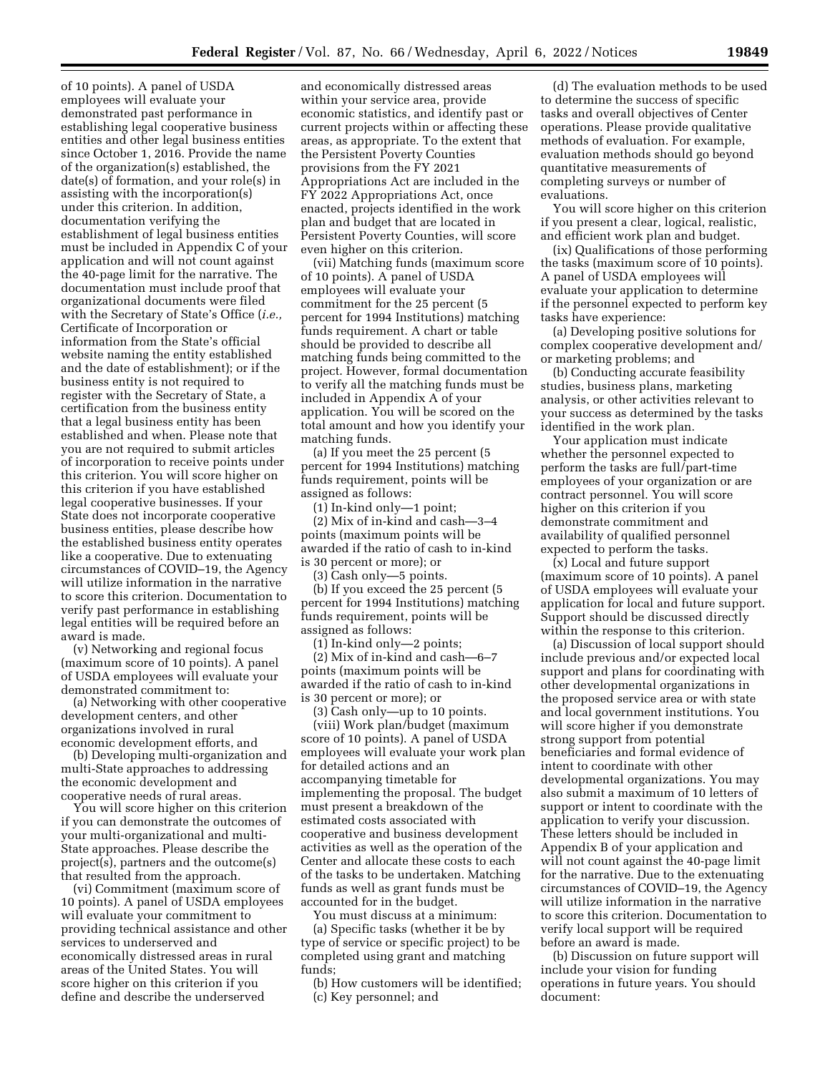of 10 points). A panel of USDA employees will evaluate your demonstrated past performance in establishing legal cooperative business entities and other legal business entities since October 1, 2016. Provide the name of the organization(s) established, the date(s) of formation, and your role(s) in assisting with the incorporation(s) under this criterion. In addition, documentation verifying the establishment of legal business entities must be included in Appendix C of your application and will not count against the 40-page limit for the narrative. The documentation must include proof that organizational documents were filed with the Secretary of State's Office (*i.e.,*  Certificate of Incorporation or information from the State's official website naming the entity established and the date of establishment); or if the business entity is not required to register with the Secretary of State, a certification from the business entity that a legal business entity has been established and when. Please note that you are not required to submit articles of incorporation to receive points under this criterion. You will score higher on this criterion if you have established legal cooperative businesses. If your State does not incorporate cooperative business entities, please describe how the established business entity operates like a cooperative. Due to extenuating circumstances of COVID–19, the Agency will utilize information in the narrative to score this criterion. Documentation to verify past performance in establishing legal entities will be required before an award is made.

(v) Networking and regional focus (maximum score of 10 points). A panel of USDA employees will evaluate your demonstrated commitment to:

(a) Networking with other cooperative development centers, and other organizations involved in rural economic development efforts, and

(b) Developing multi-organization and multi-State approaches to addressing the economic development and cooperative needs of rural areas.

You will score higher on this criterion if you can demonstrate the outcomes of your multi-organizational and multi-State approaches. Please describe the project(s), partners and the outcome(s) that resulted from the approach.

(vi) Commitment (maximum score of 10 points). A panel of USDA employees will evaluate your commitment to providing technical assistance and other services to underserved and economically distressed areas in rural areas of the United States. You will score higher on this criterion if you define and describe the underserved

and economically distressed areas within your service area, provide economic statistics, and identify past or current projects within or affecting these areas, as appropriate. To the extent that the Persistent Poverty Counties provisions from the FY 2021 Appropriations Act are included in the FY 2022 Appropriations Act, once enacted, projects identified in the work plan and budget that are located in Persistent Poverty Counties, will score even higher on this criterion.

(vii) Matching funds (maximum score of 10 points). A panel of USDA employees will evaluate your commitment for the 25 percent (5 percent for 1994 Institutions) matching funds requirement. A chart or table should be provided to describe all matching funds being committed to the project. However, formal documentation to verify all the matching funds must be included in Appendix A of your application. You will be scored on the total amount and how you identify your matching funds.

(a) If you meet the 25 percent (5 percent for 1994 Institutions) matching funds requirement, points will be assigned as follows:

(1) In-kind only—1 point;

(2) Mix of in-kind and cash—3–4 points (maximum points will be awarded if the ratio of cash to in-kind is 30 percent or more); or

(3) Cash only—5 points.

(b) If you exceed the 25 percent (5 percent for 1994 Institutions) matching funds requirement, points will be assigned as follows:

(1) In-kind only—2 points; (2) Mix of in-kind and cash—6–7 points (maximum points will be awarded if the ratio of cash to in-kind is 30 percent or more); or

(3) Cash only—up to 10 points.

(viii) Work plan/budget (maximum score of 10 points). A panel of USDA employees will evaluate your work plan for detailed actions and an accompanying timetable for implementing the proposal. The budget must present a breakdown of the estimated costs associated with cooperative and business development activities as well as the operation of the Center and allocate these costs to each of the tasks to be undertaken. Matching funds as well as grant funds must be accounted for in the budget.

You must discuss at a minimum: (a) Specific tasks (whether it be by type of service or specific project) to be completed using grant and matching funds;

(b) How customers will be identified; (c) Key personnel; and

(d) The evaluation methods to be used to determine the success of specific tasks and overall objectives of Center operations. Please provide qualitative methods of evaluation. For example, evaluation methods should go beyond quantitative measurements of completing surveys or number of evaluations.

You will score higher on this criterion if you present a clear, logical, realistic, and efficient work plan and budget.

(ix) Qualifications of those performing the tasks (maximum score of 10 points). A panel of USDA employees will evaluate your application to determine if the personnel expected to perform key tasks have experience:

(a) Developing positive solutions for complex cooperative development and/ or marketing problems; and

(b) Conducting accurate feasibility studies, business plans, marketing analysis, or other activities relevant to your success as determined by the tasks identified in the work plan.

Your application must indicate whether the personnel expected to perform the tasks are full/part-time employees of your organization or are contract personnel. You will score higher on this criterion if you demonstrate commitment and availability of qualified personnel expected to perform the tasks.

(x) Local and future support (maximum score of 10 points). A panel of USDA employees will evaluate your application for local and future support. Support should be discussed directly within the response to this criterion.

(a) Discussion of local support should include previous and/or expected local support and plans for coordinating with other developmental organizations in the proposed service area or with state and local government institutions. You will score higher if you demonstrate strong support from potential beneficiaries and formal evidence of intent to coordinate with other developmental organizations. You may also submit a maximum of 10 letters of support or intent to coordinate with the application to verify your discussion. These letters should be included in Appendix B of your application and will not count against the 40-page limit for the narrative. Due to the extenuating circumstances of COVID–19, the Agency will utilize information in the narrative to score this criterion. Documentation to verify local support will be required before an award is made.

(b) Discussion on future support will include your vision for funding operations in future years. You should document: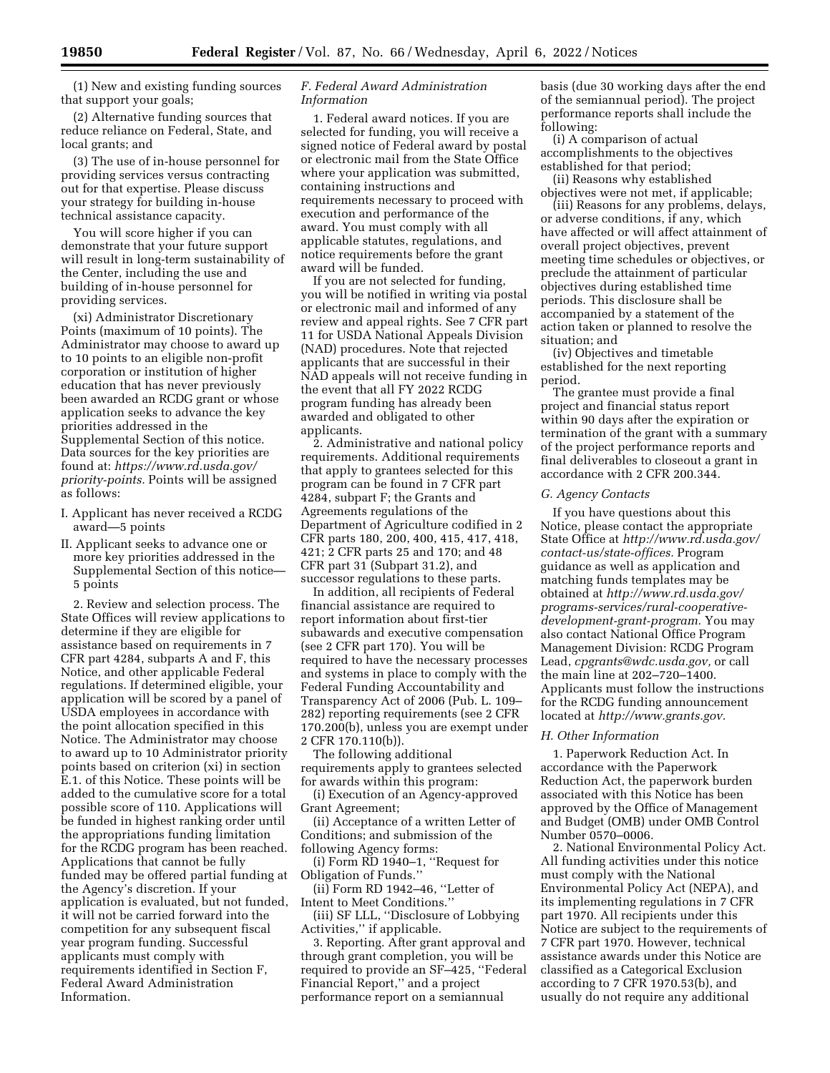(1) New and existing funding sources that support your goals;

(2) Alternative funding sources that reduce reliance on Federal, State, and local grants; and

(3) The use of in-house personnel for providing services versus contracting out for that expertise. Please discuss your strategy for building in-house technical assistance capacity.

You will score higher if you can demonstrate that your future support will result in long-term sustainability of the Center, including the use and building of in-house personnel for providing services.

(xi) Administrator Discretionary Points (maximum of 10 points). The Administrator may choose to award up to 10 points to an eligible non-profit corporation or institution of higher education that has never previously been awarded an RCDG grant or whose application seeks to advance the key priorities addressed in the Supplemental Section of this notice. Data sources for the key priorities are found at: *[https://www.rd.usda.gov/](https://www.rd.usda.gov/priority-points) [priority-points.](https://www.rd.usda.gov/priority-points)* Points will be assigned as follows:

- I. Applicant has never received a RCDG award—5 points
- II. Applicant seeks to advance one or more key priorities addressed in the Supplemental Section of this notice— 5 points

2. Review and selection process. The State Offices will review applications to determine if they are eligible for assistance based on requirements in 7 CFR part 4284, subparts A and F, this Notice, and other applicable Federal regulations. If determined eligible, your application will be scored by a panel of USDA employees in accordance with the point allocation specified in this Notice. The Administrator may choose to award up to 10 Administrator priority points based on criterion (xi) in section E.1. of this Notice. These points will be added to the cumulative score for a total possible score of 110. Applications will be funded in highest ranking order until the appropriations funding limitation for the RCDG program has been reached. Applications that cannot be fully funded may be offered partial funding at the Agency's discretion. If your application is evaluated, but not funded, it will not be carried forward into the competition for any subsequent fiscal year program funding. Successful applicants must comply with requirements identified in Section F, Federal Award Administration Information.

### *F. Federal Award Administration Information*

1. Federal award notices. If you are selected for funding, you will receive a signed notice of Federal award by postal or electronic mail from the State Office where your application was submitted, containing instructions and requirements necessary to proceed with execution and performance of the award. You must comply with all applicable statutes, regulations, and notice requirements before the grant award will be funded.

If you are not selected for funding, you will be notified in writing via postal or electronic mail and informed of any review and appeal rights. See 7 CFR part 11 for USDA National Appeals Division (NAD) procedures. Note that rejected applicants that are successful in their NAD appeals will not receive funding in the event that all FY 2022 RCDG program funding has already been awarded and obligated to other applicants.

2. Administrative and national policy requirements. Additional requirements that apply to grantees selected for this program can be found in 7 CFR part 4284, subpart F; the Grants and Agreements regulations of the Department of Agriculture codified in 2 CFR parts 180, 200, 400, 415, 417, 418, 421; 2 CFR parts 25 and 170; and 48 CFR part 31 (Subpart 31.2), and successor regulations to these parts.

In addition, all recipients of Federal financial assistance are required to report information about first-tier subawards and executive compensation (see 2 CFR part 170). You will be required to have the necessary processes and systems in place to comply with the Federal Funding Accountability and Transparency Act of 2006 (Pub. L. 109– 282) reporting requirements (see 2 CFR 170.200(b), unless you are exempt under 2 CFR 170.110(b)).

The following additional requirements apply to grantees selected for awards within this program:

(i) Execution of an Agency-approved Grant Agreement;

(ii) Acceptance of a written Letter of Conditions; and submission of the following Agency forms:

(i) Form RD 1940–1, ''Request for Obligation of Funds.''

 $(ii)$  Form RD 1942–46, "Letter of Intent to Meet Conditions.''

(iii) SF LLL, ''Disclosure of Lobbying Activities,'' if applicable.

3. Reporting. After grant approval and through grant completion, you will be required to provide an SF–425, ''Federal Financial Report,'' and a project performance report on a semiannual

basis (due 30 working days after the end of the semiannual period). The project performance reports shall include the following:

(i) A comparison of actual accomplishments to the objectives established for that period;

(ii) Reasons why established objectives were not met, if applicable;

(iii) Reasons for any problems, delays, or adverse conditions, if any, which have affected or will affect attainment of overall project objectives, prevent meeting time schedules or objectives, or preclude the attainment of particular objectives during established time periods. This disclosure shall be accompanied by a statement of the action taken or planned to resolve the situation; and

(iv) Objectives and timetable established for the next reporting period.

The grantee must provide a final project and financial status report within 90 days after the expiration or termination of the grant with a summary of the project performance reports and final deliverables to closeout a grant in accordance with 2 CFR 200.344.

#### *G. Agency Contacts*

If you have questions about this Notice, please contact the appropriate State Office at *[http://www.rd.usda.gov/](http://www.rd.usda.gov/contact-us/state-offices) [contact-us/state-offices.](http://www.rd.usda.gov/contact-us/state-offices)* Program guidance as well as application and matching funds templates may be obtained at *[http://www.rd.usda.gov/](http://www.rd.usda.gov/programs-services/rural-cooperative-development-grant-program) [programs-services/rural-cooperative](http://www.rd.usda.gov/programs-services/rural-cooperative-development-grant-program)[development-grant-program.](http://www.rd.usda.gov/programs-services/rural-cooperative-development-grant-program)* You may also contact National Office Program Management Division: RCDG Program Lead, *[cpgrants@wdc.usda.gov,](mailto:cpgrants@wdc.usda.gov)* or call the main line at 202–720–1400. Applicants must follow the instructions for the RCDG funding announcement located at *[http://www.grants.gov.](http://www.grants.gov)* 

### *H. Other Information*

1. Paperwork Reduction Act. In accordance with the Paperwork Reduction Act, the paperwork burden associated with this Notice has been approved by the Office of Management and Budget (OMB) under OMB Control Number 0570–0006.

2. National Environmental Policy Act. All funding activities under this notice must comply with the National Environmental Policy Act (NEPA), and its implementing regulations in 7 CFR part 1970. All recipients under this Notice are subject to the requirements of 7 CFR part 1970. However, technical assistance awards under this Notice are classified as a Categorical Exclusion according to 7 CFR 1970.53(b), and usually do not require any additional